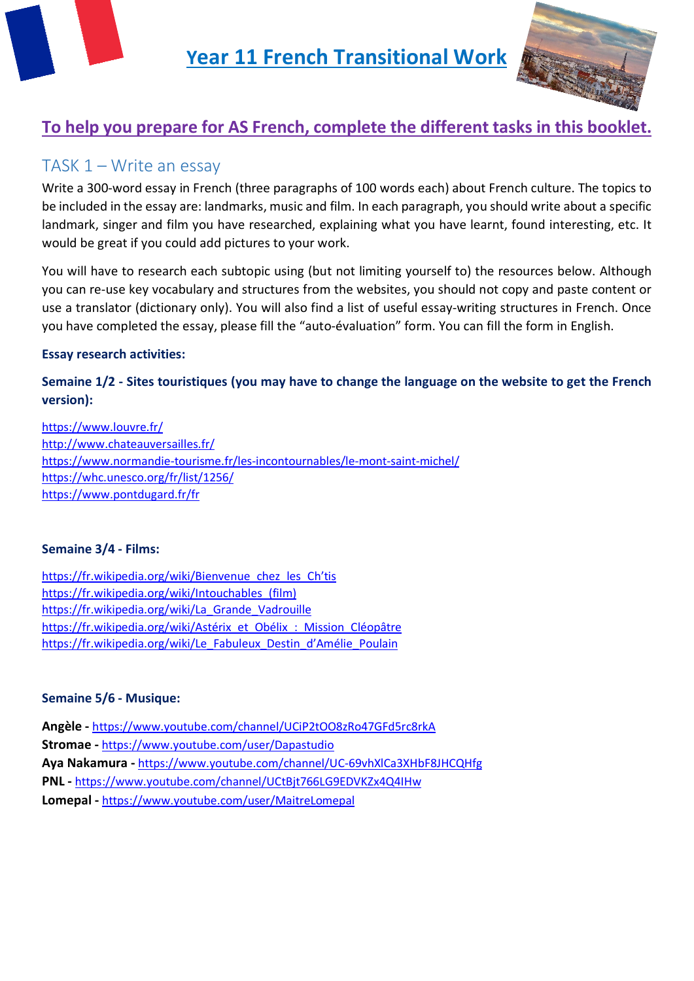



# **To help you prepare for AS French, complete the different tasks in this booklet.**

# TASK 1 – Write an essay

Write a 300-word essay in French (three paragraphs of 100 words each) about French culture. The topics to be included in the essay are: landmarks, music and film. In each paragraph, you should write about a specific landmark, singer and film you have researched, explaining what you have learnt, found interesting, etc. It would be great if you could add pictures to your work.

You will have to research each subtopic using (but not limiting yourself to) the resources below. Although you can re-use key vocabulary and structures from the websites, you should not copy and paste content or use a translator (dictionary only). You will also find a list of useful essay-writing structures in French. Once you have completed the essay, please fill the "auto-évaluation" form. You can fill the form in English.

### **Essay research activities:**

# **Semaine 1/2 - Sites touristiques (you may have to change the language on the website to get the French version):**

<https://www.louvre.fr/> <http://www.chateauversailles.fr/> <https://www.normandie-tourisme.fr/les-incontournables/le-mont-saint-michel/> <https://whc.unesco.org/fr/list/1256/> <https://www.pontdugard.fr/fr>

### **Semaine 3/4 - Films:**

https://fr.wikipedia.org/wiki/Bienvenue chez les Ch'tis [https://fr.wikipedia.org/wiki/Intouchables\\_\(film\)](https://fr.wikipedia.org/wiki/Intouchables_(film)) https://fr.wikipedia.org/wiki/La Grande Vadrouille [https://fr.wikipedia.org/wiki/Astérix\\_et\\_Obélix\\_:\\_Mission\\_Cléopâtre](https://fr.wikipedia.org/wiki/Ast%C3%A9rix_et_Ob%C3%A9lix_:_Mission_Cl%C3%A9op%C3%A2tre) [https://fr.wikipedia.org/wiki/Le\\_Fabuleux\\_Destin\\_d'Amélie\\_Poulain](https://fr.wikipedia.org/wiki/Le_Fabuleux_Destin_d%27Am%C3%A9lie_Poulain)

### **Semaine 5/6 - Musique:**

**Angèle -** <https://www.youtube.com/channel/UCiP2tOO8zRo47GFd5rc8rkA> **Stromae -** <https://www.youtube.com/user/Dapastudio> **Aya Nakamura -** <https://www.youtube.com/channel/UC-69vhXlCa3XHbF8JHCQHfg> **PNL -** <https://www.youtube.com/channel/UCtBjt766LG9EDVKZx4Q4IHw> **Lomepal -** <https://www.youtube.com/user/MaitreLomepal>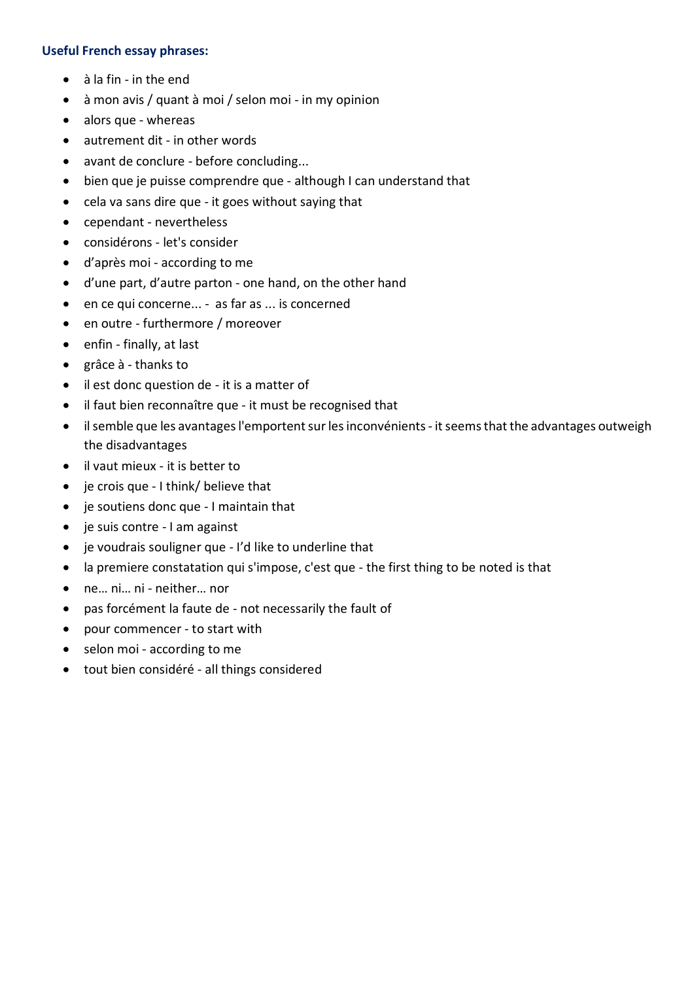#### **Useful French essay phrases:**

- à la fin in the end
- à mon avis / quant à moi / selon moi in my opinion
- alors que whereas
- autrement dit in other words
- avant de conclure before concluding...
- bien que je puisse comprendre que although I can understand that
- cela va sans dire que it goes without saying that
- cependant nevertheless
- considérons let's consider
- d'après moi according to me
- d'une part, d'autre parton one hand, on the other hand
- en ce qui concerne... as far as ... is concerned
- en outre furthermore / moreover
- enfin finally, at last
- grâce à thanks to
- il est donc question de it is a matter of
- il faut bien reconnaître que it must be recognised that
- il semble que les avantages l'emportent sur les inconvénients it seems that the advantages outweigh the disadvantages
- il vaut mieux it is better to
- je crois que I think/ believe that
- je soutiens donc que I maintain that
- je suis contre I am against
- je voudrais souligner que I'd like to underline that
- la premiere constatation qui s'impose, c'est que the first thing to be noted is that
- ne… ni… ni neither… nor
- pas forcément la faute de not necessarily the fault of
- pour commencer to start with
- selon moi according to me
- tout bien considéré all things considered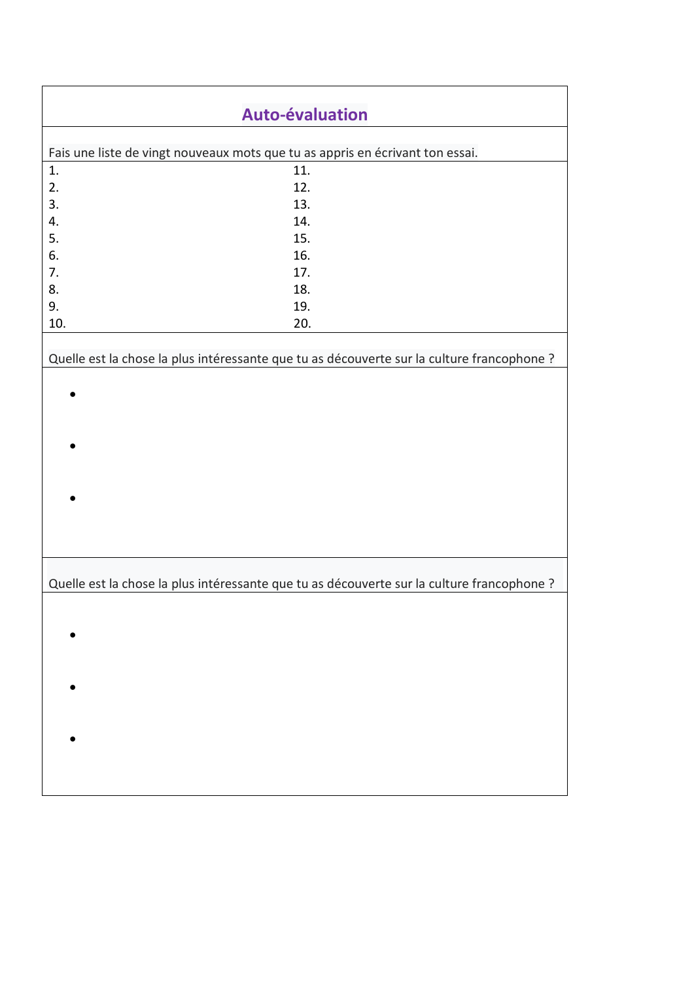| <b>Auto-évaluation</b>                                                        |                                                                                            |  |  |  |
|-------------------------------------------------------------------------------|--------------------------------------------------------------------------------------------|--|--|--|
|                                                                               |                                                                                            |  |  |  |
| Fais une liste de vingt nouveaux mots que tu as appris en écrivant ton essai. |                                                                                            |  |  |  |
| 1.                                                                            | 11.                                                                                        |  |  |  |
| 2.                                                                            | 12.                                                                                        |  |  |  |
| 3.                                                                            | 13.                                                                                        |  |  |  |
| 4.                                                                            | 14.                                                                                        |  |  |  |
| 5.                                                                            | 15.                                                                                        |  |  |  |
| 6.                                                                            | 16.                                                                                        |  |  |  |
| 7.                                                                            | 17.                                                                                        |  |  |  |
| 8.                                                                            | 18.                                                                                        |  |  |  |
| 9.                                                                            | 19.                                                                                        |  |  |  |
| 10.                                                                           | 20.                                                                                        |  |  |  |
|                                                                               | Quelle est la chose la plus intéressante que tu as découverte sur la culture francophone ? |  |  |  |
|                                                                               |                                                                                            |  |  |  |
|                                                                               |                                                                                            |  |  |  |
|                                                                               |                                                                                            |  |  |  |
|                                                                               |                                                                                            |  |  |  |
|                                                                               |                                                                                            |  |  |  |
|                                                                               |                                                                                            |  |  |  |
|                                                                               |                                                                                            |  |  |  |
|                                                                               |                                                                                            |  |  |  |
|                                                                               |                                                                                            |  |  |  |
|                                                                               |                                                                                            |  |  |  |
|                                                                               |                                                                                            |  |  |  |
|                                                                               |                                                                                            |  |  |  |
|                                                                               | Quelle est la chose la plus intéressante que tu as découverte sur la culture francophone ? |  |  |  |
|                                                                               |                                                                                            |  |  |  |
|                                                                               |                                                                                            |  |  |  |
|                                                                               |                                                                                            |  |  |  |
|                                                                               |                                                                                            |  |  |  |
|                                                                               |                                                                                            |  |  |  |
|                                                                               |                                                                                            |  |  |  |
|                                                                               |                                                                                            |  |  |  |
|                                                                               |                                                                                            |  |  |  |
|                                                                               |                                                                                            |  |  |  |
|                                                                               |                                                                                            |  |  |  |
|                                                                               |                                                                                            |  |  |  |
|                                                                               |                                                                                            |  |  |  |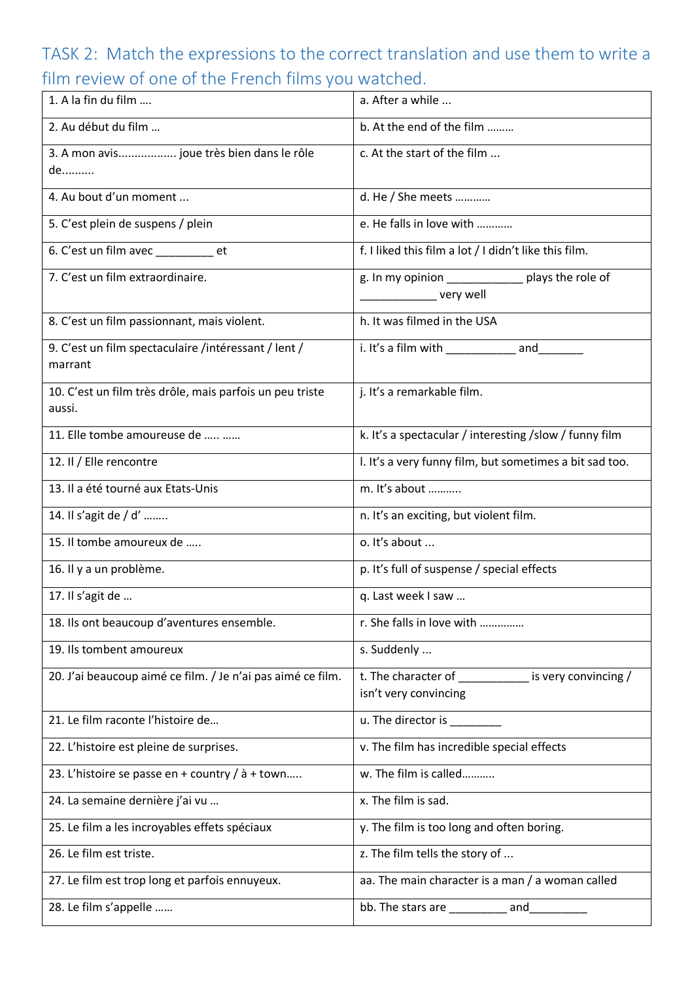# TASK 2: Match the expressions to the correct translation and use them to write a film review of one of the French films you watched.

| 1. A la fin du film                                                | a. After a while                                                           |
|--------------------------------------------------------------------|----------------------------------------------------------------------------|
| 2. Au début du film                                                | b. At the end of the film                                                  |
| 3. A mon avis joue très bien dans le rôle<br>de                    | c. At the start of the film                                                |
| 4. Au bout d'un moment                                             | d. He / She meets                                                          |
| 5. C'est plein de suspens / plein                                  | e. He falls in love with                                                   |
| 6. C'est un film avec ________ et                                  | f. I liked this film a lot / I didn't like this film.                      |
| 7. C'est un film extraordinaire.                                   | g. In my opinion ________________ plays the role of<br>very well           |
| 8. C'est un film passionnant, mais violent.                        | h. It was filmed in the USA                                                |
| 9. C'est un film spectaculaire /intéressant / lent /<br>marrant    | i. It's a film with ______________ and___                                  |
| 10. C'est un film très drôle, mais parfois un peu triste<br>aussi. | j. It's a remarkable film.                                                 |
| 11. Elle tombe amoureuse de                                        | k. It's a spectacular / interesting / slow / funny film                    |
| 12. Il / Elle rencontre                                            | I. It's a very funny film, but sometimes a bit sad too.                    |
| 13. Il a été tourné aux Etats-Unis                                 | m. It's about                                                              |
| 14. Il s'agit de / d'                                              | n. It's an exciting, but violent film.                                     |
| 15. Il tombe amoureux de                                           | o. It's about                                                              |
| 16. Il y a un problème.                                            | p. It's full of suspense / special effects                                 |
| 17. Il s'agit de                                                   | q. Last week I saw                                                         |
| 18. Ils ont beaucoup d'aventures ensemble.                         | r. She falls in love with                                                  |
| 19. Ils tombent amoureux                                           | s. Suddenly                                                                |
| 20. J'ai beaucoup aimé ce film. / Je n'ai pas aimé ce film.        | t. The character of interest is very convincing /<br>isn't very convincing |
| 21. Le film raconte l'histoire de                                  | u. The director is ________                                                |
| 22. L'histoire est pleine de surprises.                            | v. The film has incredible special effects                                 |
| 23. L'histoire se passe en + country / à + town                    | w. The film is called                                                      |
| 24. La semaine dernière j'ai vu                                    | x. The film is sad.                                                        |
| 25. Le film a les incroyables effets spéciaux                      | y. The film is too long and often boring.                                  |
| 26. Le film est triste.                                            | z. The film tells the story of                                             |
| 27. Le film est trop long et parfois ennuyeux.                     | aa. The main character is a man / a woman called                           |
| 28. Le film s'appelle                                              | bb. The stars are $\frac{1}{2}$ and                                        |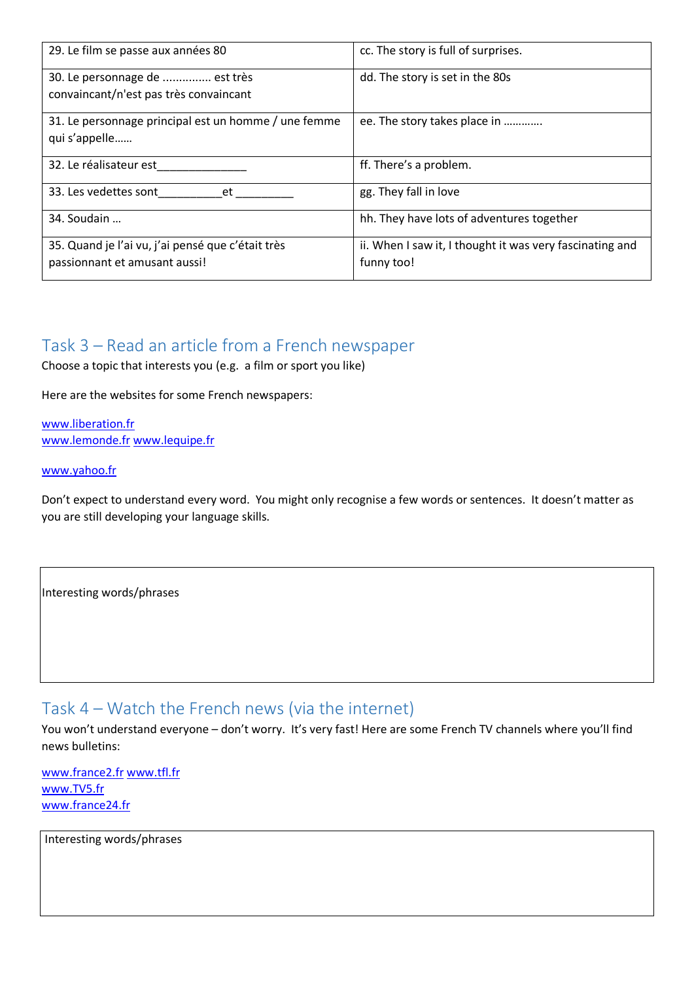| 29. Le film se passe aux années 80                                                 | cc. The story is full of surprises.                                    |
|------------------------------------------------------------------------------------|------------------------------------------------------------------------|
| 30. Le personnage de  est très<br>convaincant/n'est pas très convaincant           | dd. The story is set in the 80s                                        |
| 31. Le personnage principal est un homme / une femme<br>qui s'appelle              | ee. The story takes place in                                           |
| 32. Le réalisateur est                                                             | ff. There's a problem.                                                 |
| 33. Les vedettes sont<br>et                                                        | gg. They fall in love                                                  |
| 34. Soudain                                                                        | hh. They have lots of adventures together                              |
| 35. Quand je l'ai vu, j'ai pensé que c'était très<br>passionnant et amusant aussi! | ii. When I saw it, I thought it was very fascinating and<br>funny too! |

# Task 3 – Read an article from a French newspaper

Choose a topic that interests you (e.g. a film or sport you like)

Here are the websites for some French newspapers:

[www.liberation.fr](http://www.liberation.fr/) [www.lemonde.fr](http://www.lemonde.fr/) [www.lequipe.fr](http://www.lequipe.fr/)

#### [www.yahoo.fr](http://www.yahoo.fr/)

Don't expect to understand every word. You might only recognise a few words or sentences. It doesn't matter as you are still developing your language skills.

Interesting words/phrases

# Task 4 – Watch the French news (via the internet)

You won't understand everyone – don't worry. It's very fast! Here are some French TV channels where you'll find news bulletins:

[www.france2.fr](http://www.france2.fr/) [www.tfl.fr](http://www.tfl.fr/) [www.TV5.fr](http://www.tv5.fr/) [www.france24.fr](http://www.france24.fr/)

Interesting words/phrases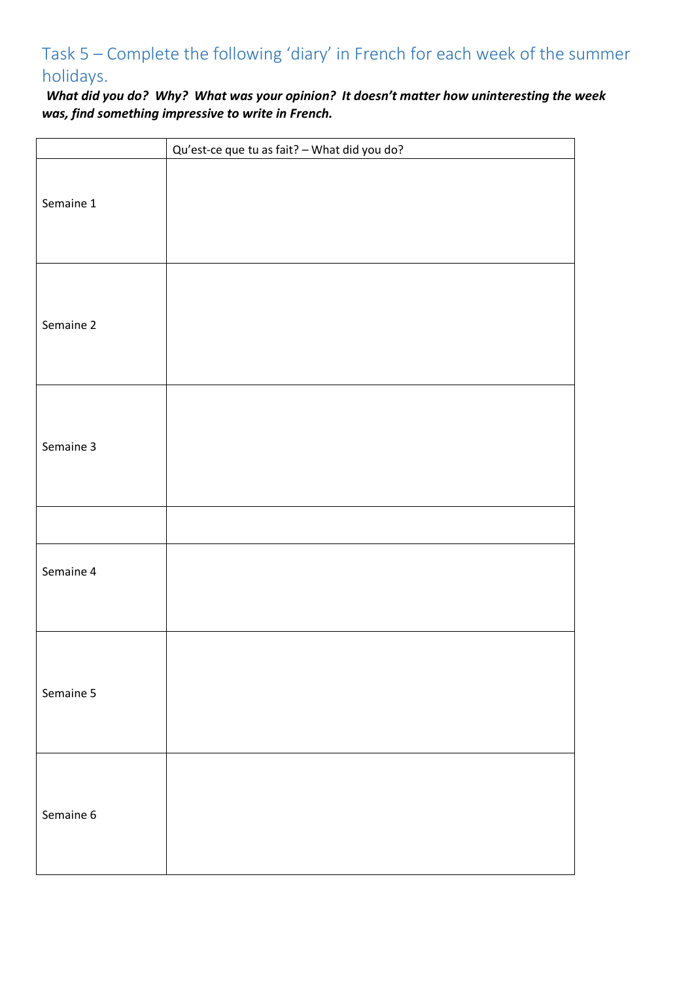# Task 5 – Complete the following 'diary' in French for each week of the summer holidays.

*What did you do? Why? What was your opinion? It doesn't matter how uninteresting the week was, find something impressive to write in French.* 

|           | Qu'est-ce que tu as fait? - What did you do? |
|-----------|----------------------------------------------|
| Semaine 1 |                                              |
| Semaine 2 |                                              |
| Semaine 3 |                                              |
|           |                                              |
| Semaine 4 |                                              |
| Semaine 5 |                                              |
| Semaine 6 |                                              |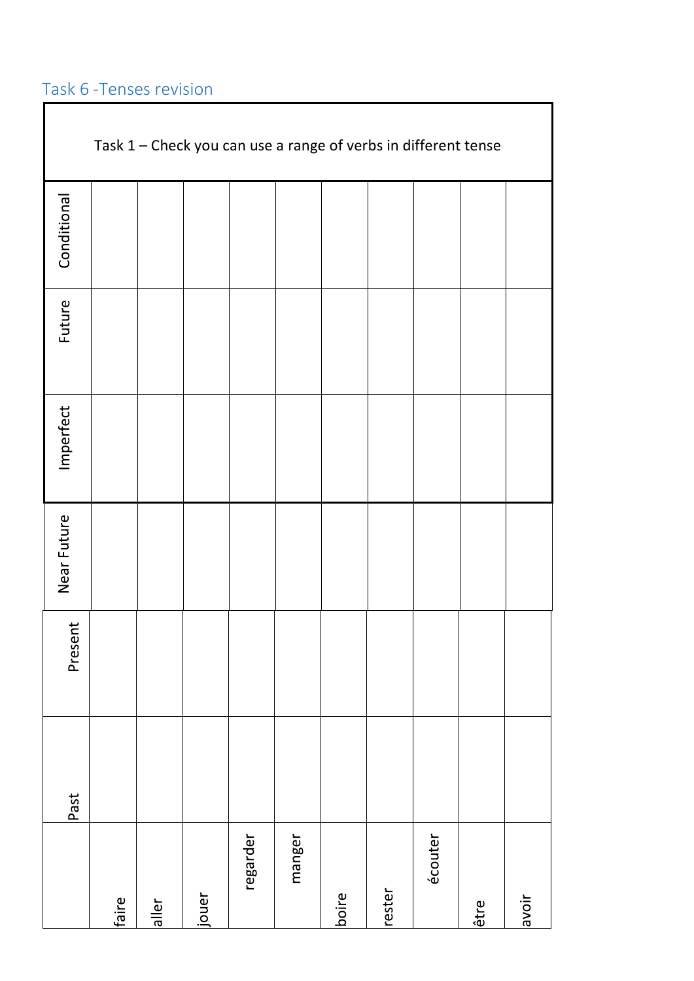# Task 6 -Tenses revision Г

|             | Task 1 - Check you can use a range of verbs in different tense |       |       |          |        |       |        |         |      |       |
|-------------|----------------------------------------------------------------|-------|-------|----------|--------|-------|--------|---------|------|-------|
| Conditional |                                                                |       |       |          |        |       |        |         |      |       |
| Future      |                                                                |       |       |          |        |       |        |         |      |       |
| Imperfect   |                                                                |       |       |          |        |       |        |         |      |       |
| Near Future |                                                                |       |       |          |        |       |        |         |      |       |
| Present     |                                                                |       |       |          |        |       |        |         |      |       |
| Past        |                                                                |       |       |          |        |       |        |         |      |       |
|             | faire                                                          | aller | jouer | regarder | manger | boire | rester | écouter | être | avoir |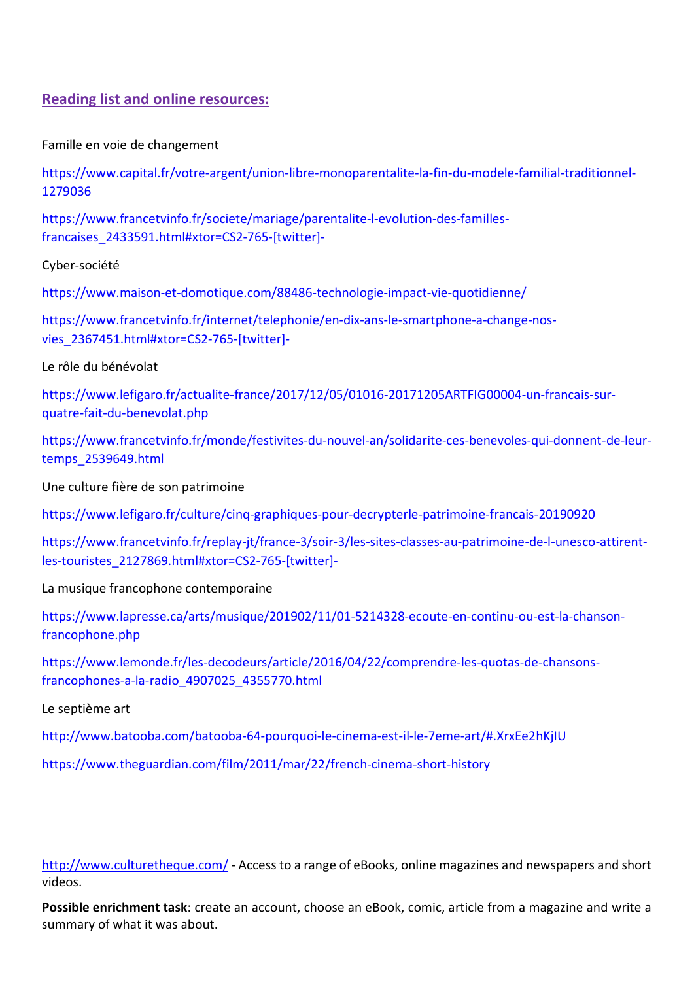## **Reading list and online resources:**

Famille en voie de changement

[https://www.capital.fr/votre-argent/union-libre-monoparentalite-la-fin-du-modele-familial-traditionnel-](https://www.capital.fr/votre-argent/union-libre-monoparentalite-la-fin-du-modele-familial-traditionnel-1279036)[1279036](https://www.capital.fr/votre-argent/union-libre-monoparentalite-la-fin-du-modele-familial-traditionnel-1279036)

[https://www.francetvinfo.fr/societe/mariage/parentalite-l-evolution-des-familles](https://www.francetvinfo.fr/societe/mariage/parentalite-l-evolution-des-familles-francaises_2433591.html#xtor=CS2-765-%5Btwitter%5D-)[francaises\\_2433591.html#xtor=CS2-765-\[twitter\]-](https://www.francetvinfo.fr/societe/mariage/parentalite-l-evolution-des-familles-francaises_2433591.html#xtor=CS2-765-%5Btwitter%5D-)

Cyber-société

<https://www.maison-et-domotique.com/88486-technologie-impact-vie-quotidienne/>

[https://www.francetvinfo.fr/internet/telephonie/en-dix-ans-le-smartphone-a-change-nos](https://www.francetvinfo.fr/internet/telephonie/en-dix-ans-le-smartphone-a-change-nos-vies_2367451.html#xtor=CS2-765-%5Btwitter%5D-)[vies\\_2367451.html#xtor=CS2-765-\[twitter\]-](https://www.francetvinfo.fr/internet/telephonie/en-dix-ans-le-smartphone-a-change-nos-vies_2367451.html#xtor=CS2-765-%5Btwitter%5D-)

Le rôle du bénévolat

[https://www.lefigaro.fr/actualite-france/2017/12/05/01016-20171205ARTFIG00004-un-francais-sur](https://www.lefigaro.fr/actualite-france/2017/12/05/01016-20171205ARTFIG00004-un-francais-sur-quatre-fait-du-benevolat.php)[quatre-fait-du-benevolat.php](https://www.lefigaro.fr/actualite-france/2017/12/05/01016-20171205ARTFIG00004-un-francais-sur-quatre-fait-du-benevolat.php)

[https://www.francetvinfo.fr/monde/festivites-du-nouvel-an/solidarite-ces-benevoles-qui-donnent-de-leur](https://www.francetvinfo.fr/monde/festivites-du-nouvel-an/solidarite-ces-benevoles-qui-donnent-de-leur-temps_2539649.html)[temps\\_2539649.html](https://www.francetvinfo.fr/monde/festivites-du-nouvel-an/solidarite-ces-benevoles-qui-donnent-de-leur-temps_2539649.html)

Une culture fière de son patrimoine

<https://www.lefigaro.fr/culture/cinq-graphiques-pour-decrypterle-patrimoine-francais-20190920>

[https://www.francetvinfo.fr/replay-jt/france-3/soir-3/les-sites-classes-au-patrimoine-de-l-unesco-attirent](https://www.francetvinfo.fr/replay-jt/france-3/soir-3/les-sites-classes-au-patrimoine-de-l-unesco-attirent-les-touristes_2127869.html#xtor=CS2-765-%5Btwitter%5D-)[les-touristes\\_2127869.html#xtor=CS2-765-\[twitter\]-](https://www.francetvinfo.fr/replay-jt/france-3/soir-3/les-sites-classes-au-patrimoine-de-l-unesco-attirent-les-touristes_2127869.html#xtor=CS2-765-%5Btwitter%5D-)

La musique francophone contemporaine

[https://www.lapresse.ca/arts/musique/201902/11/01-5214328-ecoute-en-continu-ou-est-la-chanson](https://www.lapresse.ca/arts/musique/201902/11/01-5214328-ecoute-en-continu-ou-est-la-chanson-francophone.php)[francophone.php](https://www.lapresse.ca/arts/musique/201902/11/01-5214328-ecoute-en-continu-ou-est-la-chanson-francophone.php)

[https://www.lemonde.fr/les-decodeurs/article/2016/04/22/comprendre-les-quotas-de-chansons](https://www.lemonde.fr/les-decodeurs/article/2016/04/22/comprendre-les-quotas-de-chansons-francophones-a-la-radio_4907025_4355770.html)[francophones-a-la-radio\\_4907025\\_4355770.html](https://www.lemonde.fr/les-decodeurs/article/2016/04/22/comprendre-les-quotas-de-chansons-francophones-a-la-radio_4907025_4355770.html)

Le septième art

<http://www.batooba.com/batooba-64-pourquoi-le-cinema-est-il-le-7eme-art/#.XrxEe2hKjIU>

<https://www.theguardian.com/film/2011/mar/22/french-cinema-short-history>

<http://www.culturetheque.com/> - Access to a range of eBooks, online magazines and newspapers and short videos.

**Possible enrichment task**: create an account, choose an eBook, comic, article from a magazine and write a summary of what it was about.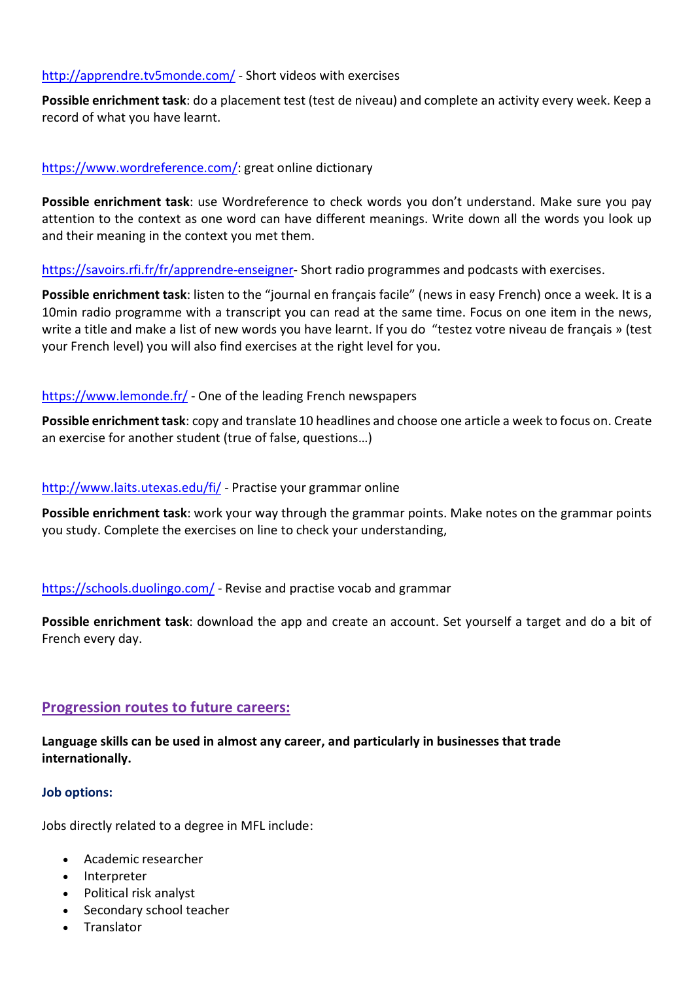#### <http://apprendre.tv5monde.com/> - Short videos with exercises

**Possible enrichment task**: do a placement test (test de niveau) and complete an activity every week. Keep a record of what you have learnt.

#### [https://www.wordreference.com/:](https://www.wordreference.com/) great online dictionary

**Possible enrichment task**: use Wordreference to check words you don't understand. Make sure you pay attention to the context as one word can have different meanings. Write down all the words you look up and their meaning in the context you met them.

[https://savoirs.rfi.fr/fr/apprendre-enseigner-](https://savoirs.rfi.fr/fr/apprendre-enseigner) Short radio programmes and podcasts with exercises.

**Possible enrichment task**: listen to the "journal en français facile" (news in easy French) once a week. It is a 10min radio programme with a transcript you can read at the same time. Focus on one item in the news, write a title and make a list of new words you have learnt. If you do "testez votre niveau de français » (test your French level) you will also find exercises at the right level for you.

#### <https://www.lemonde.fr/> - One of the leading French newspapers

**Possible enrichment task**: copy and translate 10 headlines and choose one article a week to focus on. Create an exercise for another student (true of false, questions…)

#### <http://www.laits.utexas.edu/fi>[/](http://www.laits.utexas.edu/fi/) - Practise your grammar online

**Possible enrichment task**: work your way through the grammar points. Make notes on the grammar points you study. Complete the exercises on line to check your understanding,

#### <https://schools.duolingo.com/> - Revise and practise vocab and grammar

**Possible enrichment task**: download the app and create an account. Set yourself a target and do a bit of French every day.

### **Progression routes to future careers:**

**Language skills can be used in almost any career, and particularly in businesses that trade internationally.**

#### **Job options:**

Jobs directly related to a degree in MFL include:

- [Academic researcher](https://www.prospects.ac.uk/job-profiles/academic-researcher)
- [Interpreter](https://www.prospects.ac.uk/job-profiles/interpreter)
- [Political risk analyst](https://www.prospects.ac.uk/job-profiles/political-risk-analyst)
- [Secondary school teacher](https://www.prospects.ac.uk/job-profiles/secondary-school-teacher)
- [Translator](https://www.prospects.ac.uk/job-profiles/translator)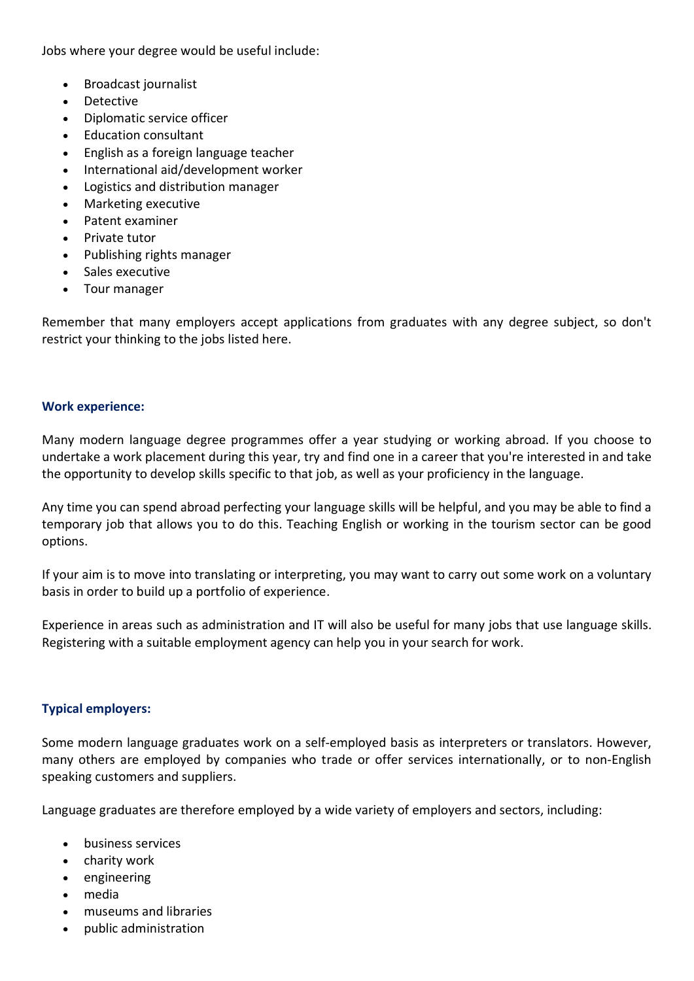Jobs where your degree would be useful include:

- [Broadcast journalist](https://www.prospects.ac.uk/job-profiles/broadcast-journalist)
- [Detective](https://www.prospects.ac.uk/job-profiles/detective)
- [Diplomatic service officer](https://www.prospects.ac.uk/job-profiles/diplomatic-service-officer)
- [Education consultant](https://www.prospects.ac.uk/job-profiles/education-consultant)
- [English as a foreign language teacher](https://www.prospects.ac.uk/job-profiles/english-as-a-foreign-language-teacher)
- [International aid/development worker](https://www.prospects.ac.uk/job-profiles/international-aid-development-worker)
- [Logistics and distribution manager](https://www.prospects.ac.uk/job-profiles/logistics-and-distribution-manager)
- [Marketing executive](https://www.prospects.ac.uk/job-profiles/marketing-executive)
- [Patent examiner](https://www.prospects.ac.uk/job-profiles/patent-examiner)
- [Private tutor](https://www.prospects.ac.uk/job-profiles/private-tutor)
- [Publishing rights manager](https://www.prospects.ac.uk/job-profiles/publishing-rights-manager)
- [Sales executive](https://www.prospects.ac.uk/job-profiles/sales-executive)
- [Tour manager](https://www.prospects.ac.uk/job-profiles/tour-manager)

Remember that many employers accept applications from graduates with any degree subject, so don't restrict your thinking to the jobs listed here.

#### **Work experience:**

Many modern language degree programmes offer a year studying or working abroad. If you choose to undertake a work placement during this year, try and find one in a career that you're interested in and take the opportunity to develop skills specific to that job, as well as your proficiency in the language.

Any time you can spend abroad perfecting your language skills will be helpful, and you may be able to find a temporary job that allows you to do this. Teaching English or working in the tourism sector can be good options.

If your aim is to move into translating or interpreting, you may want to carry out some work on a voluntary basis in order to build up a portfolio of experience.

Experience in areas such as administration and IT will also be useful for many jobs that use language skills. Registering with a suitable employment agency can help you in your search for work.

### **Typical employers:**

Some modern language graduates work on a self-employed basis as interpreters or translators. However, many others are employed by companies who trade or offer services internationally, or to non-English speaking customers and suppliers.

Language graduates are therefore employed by a wide variety of employers and sectors, including:

- business services
- charity work
- engineering
- media
- museums and libraries
- public administration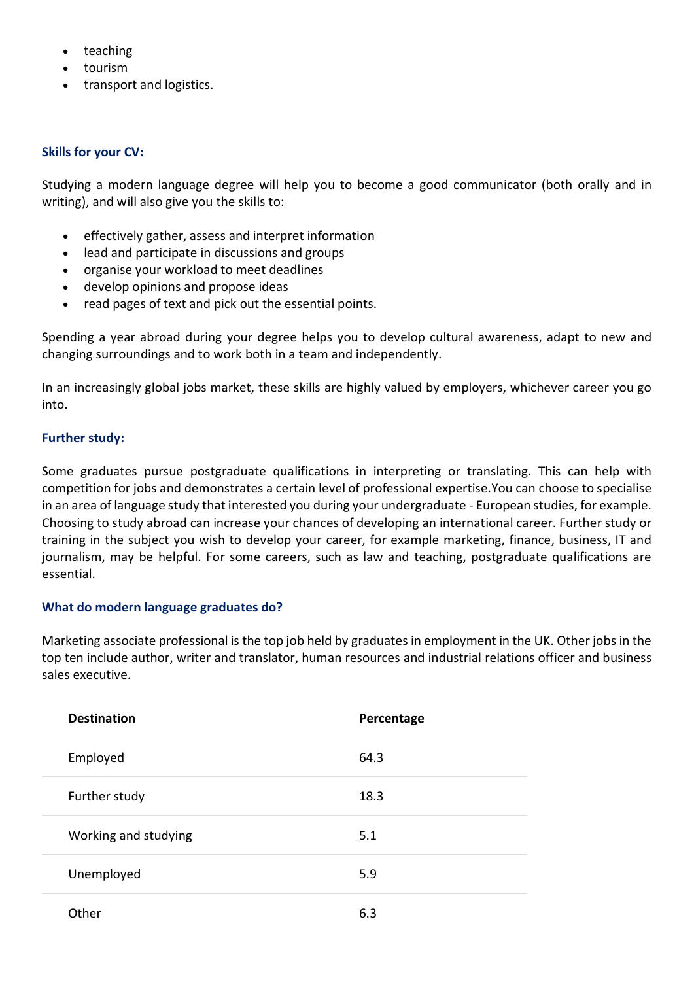- teaching
- tourism
- transport and logistics.

### **Skills for your CV:**

Studying a modern language degree will help you to become a good communicator (both orally and in writing), and will also give you the skills to:

- effectively gather, assess and interpret information
- lead and participate in discussions and groups
- organise your workload to meet deadlines
- develop opinions and propose ideas
- read pages of text and pick out the essential points.

Spending a year abroad during your degree helps you to develop cultural awareness, adapt to new and changing surroundings and to work both in a team and independently.

In an increasingly global jobs market, these skills are highly valued by employers, whichever career you go into.

### **Further study:**

Some graduates pursue postgraduate qualifications in interpreting or translating. This can help with competition for jobs and demonstrates a certain level of professional expertise.You can choose to specialise in an area of language study that interested you during your undergraduate - European studies, for example. Choosing to [study abroad](https://www.prospects.ac.uk/postgraduate-study/study-abroad) can increase your chances of developing an international career. Further study or training in the subject you wish to develop your career, for example marketing, finance, business, IT and journalism, may be helpful. For some careers, such as law and teaching, postgraduate qualifications are essential.

### **What do modern language graduates do?**

Marketing associate professional is the top job held by graduates in employment in the UK. Other jobs in the top ten include author, writer and translator, human resources and industrial relations officer and business sales executive.

| <b>Destination</b>   | Percentage |
|----------------------|------------|
| Employed             | 64.3       |
| Further study        | 18.3       |
| Working and studying | 5.1        |
| Unemployed           | 5.9        |
| Other                | 6.3        |